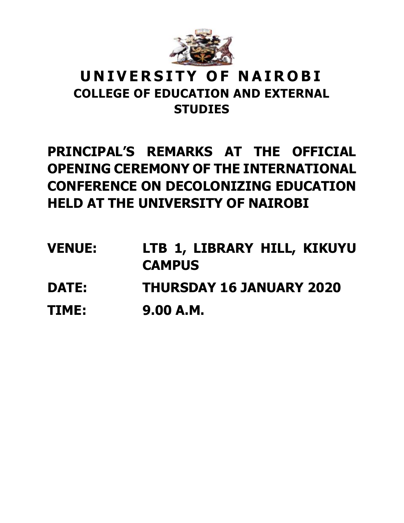

## **U N I V E R S I T Y O F N A I R O B I COLLEGE OF EDUCATION AND EXTERNAL STUDIES**

## **PRINCIPAL'S REMARKS AT THE OFFICIAL OPENING CEREMONY OF THE INTERNATIONAL CONFERENCE ON DECOLONIZING EDUCATION HELD AT THE UNIVERSITY OF NAIROBI**

**VENUE: LTB 1, LIBRARY HILL, KIKUYU CAMPUS DATE: THURSDAY 16 JANUARY 2020 TIME: 9.00 A.M.**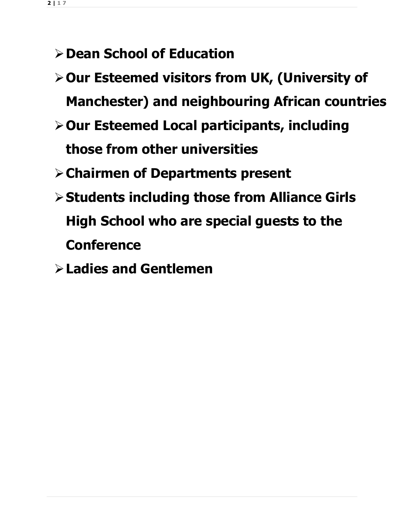- **Dean School of Education**
- **Our Esteemed visitors from UK, (University of Manchester) and neighbouring African countries**
- **Our Esteemed Local participants, including those from other universities**
- **Chairmen of Departments present**
- **Students including those from Alliance Girls High School who are special guests to the Conference**
- **Ladies and Gentlemen**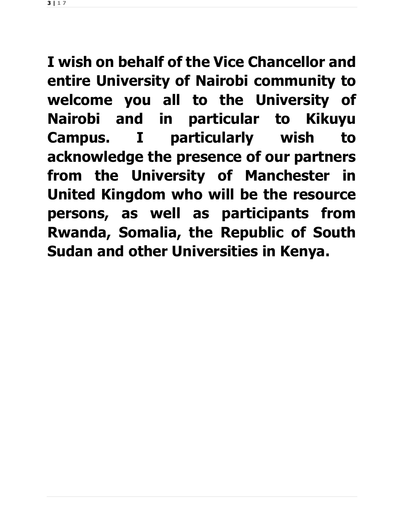**3 | 1 7**

**I wish on behalf of the Vice Chancellor and entire University of Nairobi community to welcome you all to the University of Nairobi and in particular to Kikuyu Campus. I particularly wish to acknowledge the presence of our partners from the University of Manchester in United Kingdom who will be the resource persons, as well as participants from Rwanda, Somalia, the Republic of South Sudan and other Universities in Kenya.**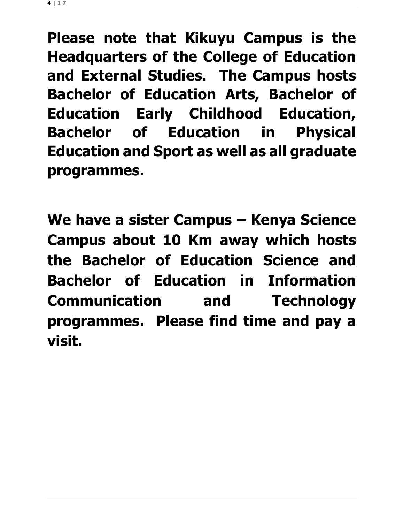**4 | 1 7**

**Please note that Kikuyu Campus is the Headquarters of the College of Education and External Studies. The Campus hosts Bachelor of Education Arts, Bachelor of Education Early Childhood Education, Bachelor of Education in Physical Education and Sport as well as all graduate programmes.**

**We have a sister Campus – Kenya Science Campus about 10 Km away which hosts the Bachelor of Education Science and Bachelor of Education in Information Communication and Technology programmes. Please find time and pay a visit.**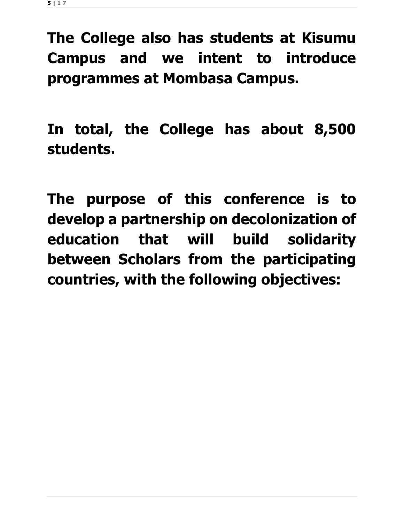**The College also has students at Kisumu Campus and we intent to introduce programmes at Mombasa Campus.**

**In total, the College has about 8,500 students.**

**The purpose of this conference is to develop a partnership on decolonization of education that will build solidarity between Scholars from the participating countries, with the following objectives:**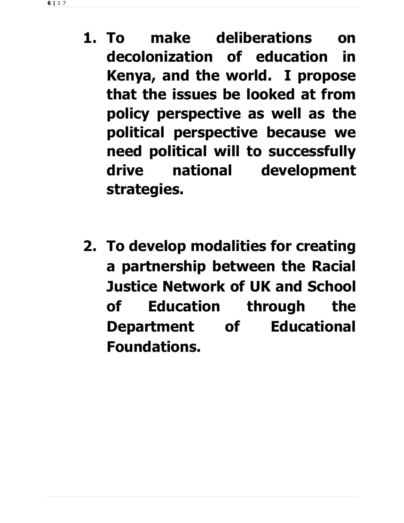- **1. To make deliberations on decolonization of education in Kenya, and the world. I propose that the issues be looked at from policy perspective as well as the political perspective because we need political will to successfully drive national development strategies.**
- **2. To develop modalities for creating a partnership between the Racial Justice Network of UK and School of Education through the Department of Educational Foundations.**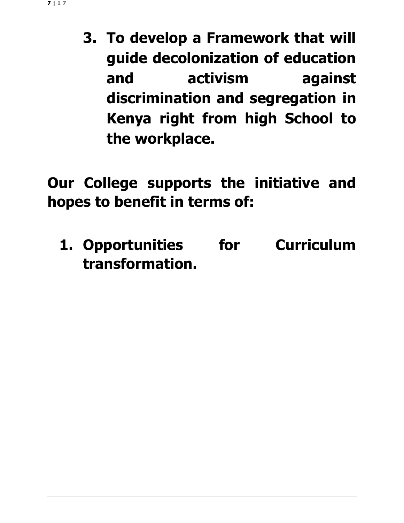**3. To develop a Framework that will guide decolonization of education and activism against discrimination and segregation in Kenya right from high School to the workplace.**

**Our College supports the initiative and hopes to benefit in terms of:**

**1. Opportunities for Curriculum transformation.**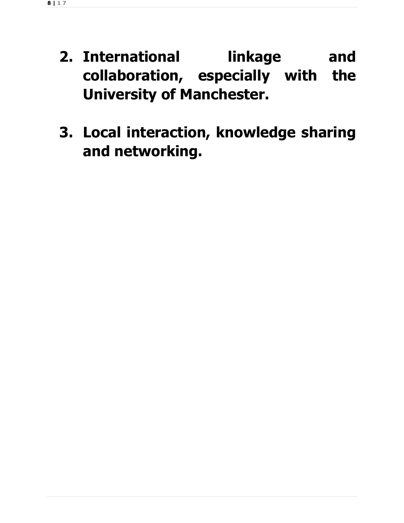- **2. International linkage and collaboration, especially with the University of Manchester.**
- **3. Local interaction, knowledge sharing and networking.**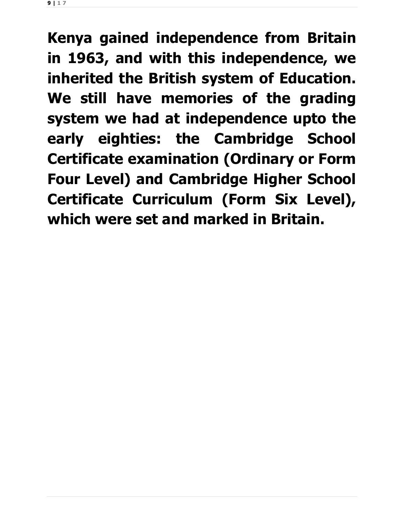**9 | 1 7**

**Kenya gained independence from Britain in 1963, and with this independence, we inherited the British system of Education. We still have memories of the grading system we had at independence upto the early eighties: the Cambridge School Certificate examination (Ordinary or Form Four Level) and Cambridge Higher School Certificate Curriculum (Form Six Level), which were set and marked in Britain.**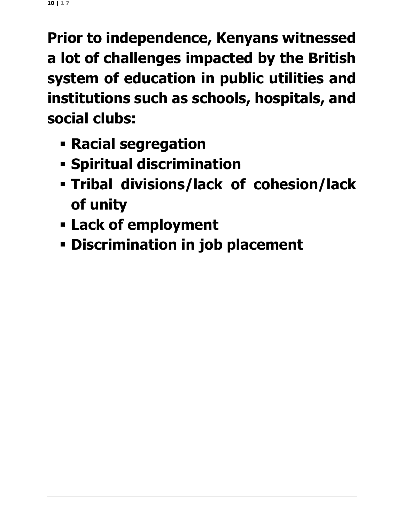**Prior to independence, Kenyans witnessed a lot of challenges impacted by the British system of education in public utilities and institutions such as schools, hospitals, and social clubs:**

- **Racial segregation**
- **Spiritual discrimination**
- **Tribal divisions/lack of cohesion/lack of unity**
- **Lack of employment**
- **Discrimination in job placement**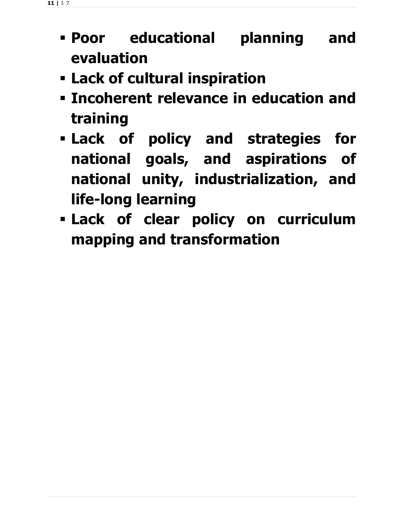- **Poor educational planning and evaluation**
- **Lack of cultural inspiration**
- **Incoherent relevance in education and training**
- **Lack of policy and strategies for national goals, and aspirations of national unity, industrialization, and life-long learning**
- **Lack of clear policy on curriculum mapping and transformation**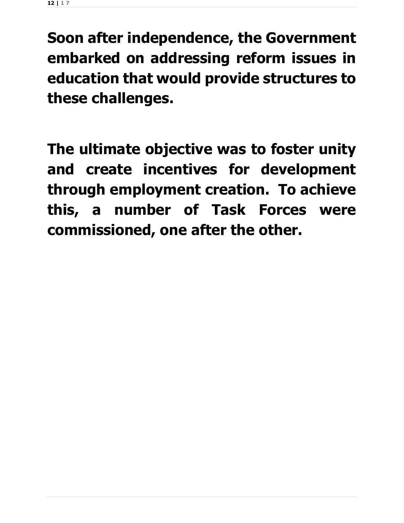**Soon after independence, the Government embarked on addressing reform issues in education that would provide structures to these challenges.**

**The ultimate objective was to foster unity and create incentives for development through employment creation. To achieve this, a number of Task Forces were commissioned, one after the other.**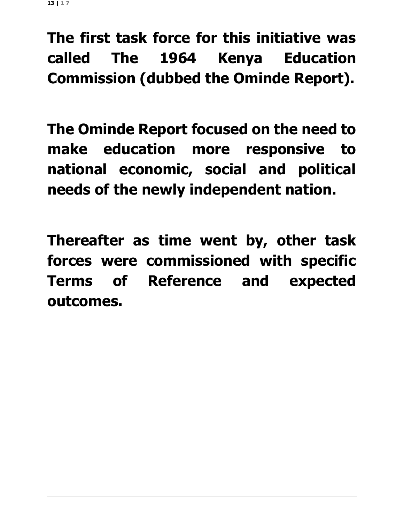**The first task force for this initiative was called The 1964 Kenya Education Commission (dubbed the Ominde Report).** 

**The Ominde Report focused on the need to make education more responsive to national economic, social and political needs of the newly independent nation.**

**Thereafter as time went by, other task forces were commissioned with specific Terms of Reference and expected outcomes.**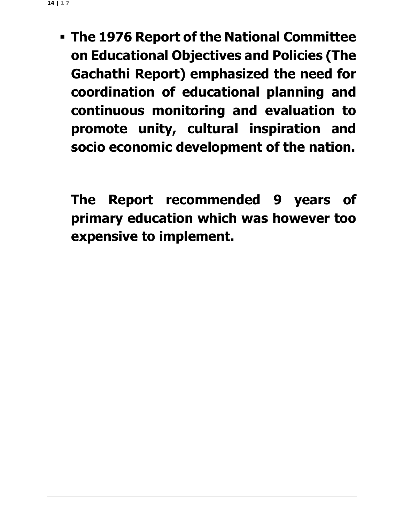**The 1976 Report of the National Committee on Educational Objectives and Policies (The Gachathi Report) emphasized the need for coordination of educational planning and continuous monitoring and evaluation to promote unity, cultural inspiration and socio economic development of the nation.**

**The Report recommended 9 years of primary education which was however too expensive to implement.**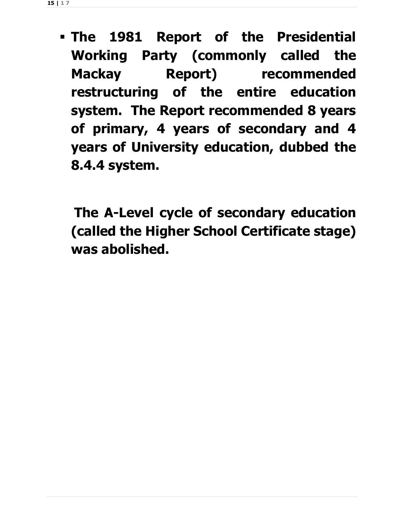**The 1981 Report of the Presidential Working Party (commonly called the Mackay Report) recommended restructuring of the entire education system. The Report recommended 8 years of primary, 4 years of secondary and 4 years of University education, dubbed the 8.4.4 system.**

**The A-Level cycle of secondary education (called the Higher School Certificate stage) was abolished.**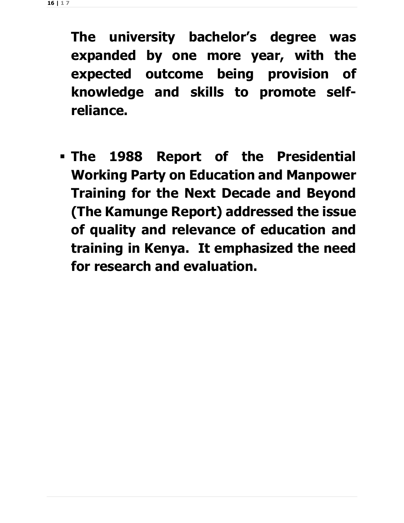**The university bachelor's degree was expanded by one more year, with the expected outcome being provision of knowledge and skills to promote selfreliance.**

 **The 1988 Report of the Presidential Working Party on Education and Manpower Training for the Next Decade and Beyond (The Kamunge Report) addressed the issue of quality and relevance of education and training in Kenya. It emphasized the need for research and evaluation.**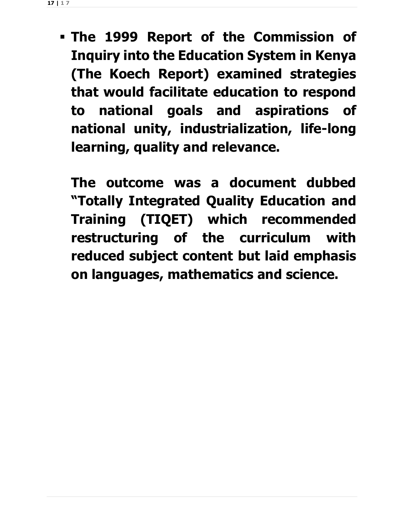**The 1999 Report of the Commission of Inquiry into the Education System in Kenya (The Koech Report) examined strategies that would facilitate education to respond to national goals and aspirations of national unity, industrialization, life-long learning, quality and relevance.** 

**The outcome was a document dubbed "Totally Integrated Quality Education and Training (TIQET) which recommended restructuring of the curriculum with reduced subject content but laid emphasis on languages, mathematics and science.**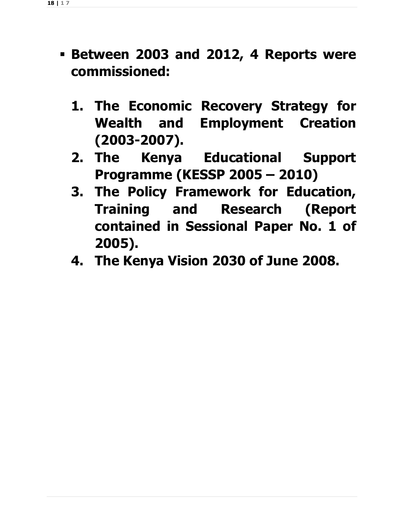- **Between 2003 and 2012, 4 Reports were commissioned:**
	- **1. The Economic Recovery Strategy for Wealth and Employment Creation (2003-2007).**
	- **2. The Kenya Educational Support Programme (KESSP 2005 – 2010)**
	- **3. The Policy Framework for Education, Training and Research (Report contained in Sessional Paper No. 1 of 2005).**
	- **4. The Kenya Vision 2030 of June 2008.**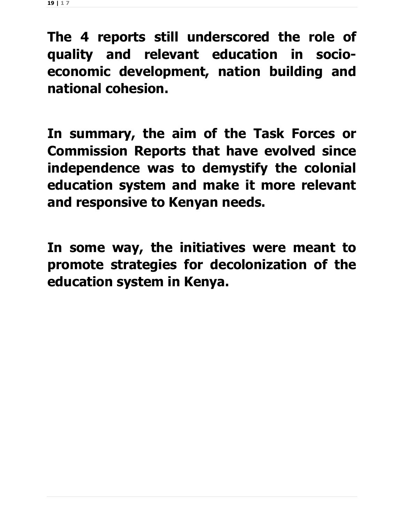**The 4 reports still underscored the role of quality and relevant education in socioeconomic development, nation building and national cohesion.**

**In summary, the aim of the Task Forces or Commission Reports that have evolved since independence was to demystify the colonial education system and make it more relevant and responsive to Kenyan needs.** 

**In some way, the initiatives were meant to promote strategies for decolonization of the education system in Kenya.**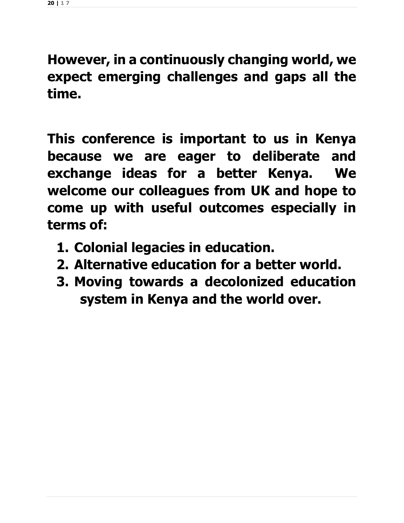**However, in a continuously changing world, we expect emerging challenges and gaps all the time.**

**This conference is important to us in Kenya because we are eager to deliberate and exchange ideas for a better Kenya. We welcome our colleagues from UK and hope to come up with useful outcomes especially in terms of:**

- **1. Colonial legacies in education.**
- **2. Alternative education for a better world.**
- **3. Moving towards a decolonized education system in Kenya and the world over.**